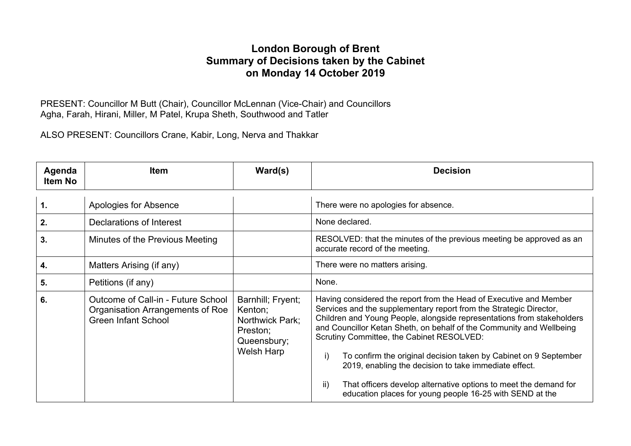#### **London Borough of Brent Summary of Decisions taken by the Cabinet on Monday 14 October 2019**

PRESENT: Councillor M Butt (Chair), Councillor McLennan (Vice-Chair) and Councillors Agha, Farah, Hirani, Miller, M Patel, Krupa Sheth, Southwood and Tatler

ALSO PRESENT: Councillors Crane, Kabir, Long, Nerva and Thakkar

| Agenda<br><b>Item No</b> | <b>Item</b>                                                                                          | $\textsf{Ward}(s)$                                                                       | <b>Decision</b>                                                                                                                                                                                                                                                                                                                                                                                                                                                            |
|--------------------------|------------------------------------------------------------------------------------------------------|------------------------------------------------------------------------------------------|----------------------------------------------------------------------------------------------------------------------------------------------------------------------------------------------------------------------------------------------------------------------------------------------------------------------------------------------------------------------------------------------------------------------------------------------------------------------------|
| $\mathbf 1$ .            | Apologies for Absence                                                                                |                                                                                          | There were no apologies for absence.                                                                                                                                                                                                                                                                                                                                                                                                                                       |
| 2.                       | Declarations of Interest                                                                             |                                                                                          | None declared.                                                                                                                                                                                                                                                                                                                                                                                                                                                             |
| 3.                       | Minutes of the Previous Meeting                                                                      |                                                                                          | RESOLVED: that the minutes of the previous meeting be approved as an<br>accurate record of the meeting.                                                                                                                                                                                                                                                                                                                                                                    |
| 4.                       | Matters Arising (if any)                                                                             |                                                                                          | There were no matters arising.                                                                                                                                                                                                                                                                                                                                                                                                                                             |
| 5.                       | Petitions (if any)                                                                                   |                                                                                          | None.                                                                                                                                                                                                                                                                                                                                                                                                                                                                      |
| 6.                       | Outcome of Call-in - Future School<br>Organisation Arrangements of Roe<br><b>Green Infant School</b> | Barnhill; Fryent;<br>Kenton;<br>Northwick Park;<br>Preston;<br>Queensbury;<br>Welsh Harp | Having considered the report from the Head of Executive and Member<br>Services and the supplementary report from the Strategic Director,<br>Children and Young People, alongside representations from stakeholders<br>and Councillor Ketan Sheth, on behalf of the Community and Wellbeing<br>Scrutiny Committee, the Cabinet RESOLVED:<br>To confirm the original decision taken by Cabinet on 9 September<br>i)<br>2019, enabling the decision to take immediate effect. |
|                          |                                                                                                      |                                                                                          | That officers develop alternative options to meet the demand for<br>$\mathsf{ii}$<br>education places for young people 16-25 with SEND at the                                                                                                                                                                                                                                                                                                                              |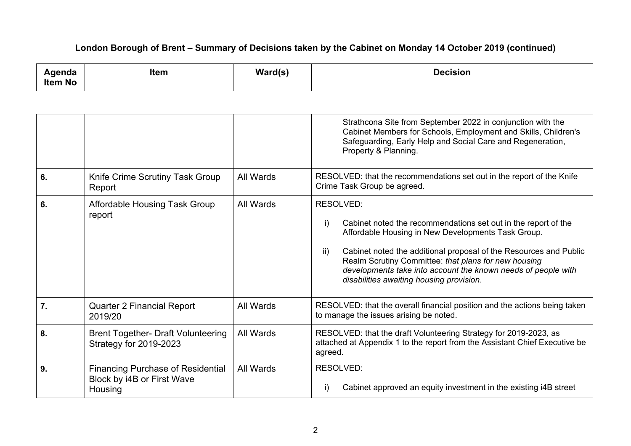| Agenda         | <b>Item</b> | Ward(s) | <b>Decision</b> |
|----------------|-------------|---------|-----------------|
| <b>Item No</b> |             |         |                 |

|                  |                                                                                   |           | Strathcona Site from September 2022 in conjunction with the<br>Cabinet Members for Schools, Employment and Skills, Children's<br>Safeguarding, Early Help and Social Care and Regeneration,<br>Property & Planning.                                                                                                                                                                             |
|------------------|-----------------------------------------------------------------------------------|-----------|-------------------------------------------------------------------------------------------------------------------------------------------------------------------------------------------------------------------------------------------------------------------------------------------------------------------------------------------------------------------------------------------------|
| 6.               | Knife Crime Scrutiny Task Group<br>Report                                         | All Wards | RESOLVED: that the recommendations set out in the report of the Knife<br>Crime Task Group be agreed.                                                                                                                                                                                                                                                                                            |
| 6.               | Affordable Housing Task Group<br>report                                           | All Wards | <b>RESOLVED:</b><br>Cabinet noted the recommendations set out in the report of the<br>i)<br>Affordable Housing in New Developments Task Group.<br>Cabinet noted the additional proposal of the Resources and Public<br>ii)<br>Realm Scrutiny Committee: that plans for new housing<br>developments take into account the known needs of people with<br>disabilities awaiting housing provision. |
| $\overline{7}$ . | <b>Quarter 2 Financial Report</b><br>2019/20                                      | All Wards | RESOLVED: that the overall financial position and the actions being taken<br>to manage the issues arising be noted.                                                                                                                                                                                                                                                                             |
| 8.               | <b>Brent Together- Draft Volunteering</b><br>Strategy for 2019-2023               | All Wards | RESOLVED: that the draft Volunteering Strategy for 2019-2023, as<br>attached at Appendix 1 to the report from the Assistant Chief Executive be<br>agreed.                                                                                                                                                                                                                                       |
| 9.               | <b>Financing Purchase of Residential</b><br>Block by i4B or First Wave<br>Housing | All Wards | RESOLVED:<br>Cabinet approved an equity investment in the existing i4B street<br>i)                                                                                                                                                                                                                                                                                                             |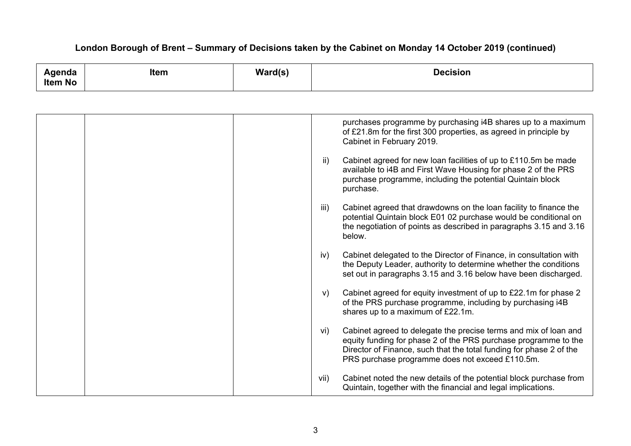| Agenda<br><b>Item No</b> | <b>Item</b> | $\textsf{Ward}(\textsf{s})$ | <b>Decision</b>                                                                                                                                                                                                                                                      |
|--------------------------|-------------|-----------------------------|----------------------------------------------------------------------------------------------------------------------------------------------------------------------------------------------------------------------------------------------------------------------|
|                          |             |                             |                                                                                                                                                                                                                                                                      |
|                          |             |                             | purchases programme by purchasing i4B shares up to a maximum<br>of £21.8m for the first 300 properties, as agreed in principle by<br>Cabinet in February 2019.                                                                                                       |
|                          |             |                             | $\mathsf{ii}$<br>Cabinet agreed for new loan facilities of up to £110.5m be made<br>available to i4B and First Wave Housing for phase 2 of the PRS<br>purchase programme, including the potential Quintain block<br>purchase.                                        |
|                          |             |                             | Cabinet agreed that drawdowns on the loan facility to finance the<br>iii)<br>potential Quintain block E01 02 purchase would be conditional on<br>the negotiation of points as described in paragraphs 3.15 and 3.16<br>below.                                        |
|                          |             |                             | Cabinet delegated to the Director of Finance, in consultation with<br>iv)<br>the Deputy Leader, authority to determine whether the conditions<br>set out in paragraphs 3.15 and 3.16 below have been discharged.                                                     |
|                          |             |                             | Cabinet agreed for equity investment of up to £22.1m for phase 2<br>V)<br>of the PRS purchase programme, including by purchasing i4B<br>shares up to a maximum of £22.1m.                                                                                            |
|                          |             |                             | Cabinet agreed to delegate the precise terms and mix of loan and<br>vi)<br>equity funding for phase 2 of the PRS purchase programme to the<br>Director of Finance, such that the total funding for phase 2 of the<br>PRS purchase programme does not exceed £110.5m. |
|                          |             |                             | Cabinet noted the new details of the potential block purchase from<br>vii)<br>Quintain, together with the financial and legal implications.                                                                                                                          |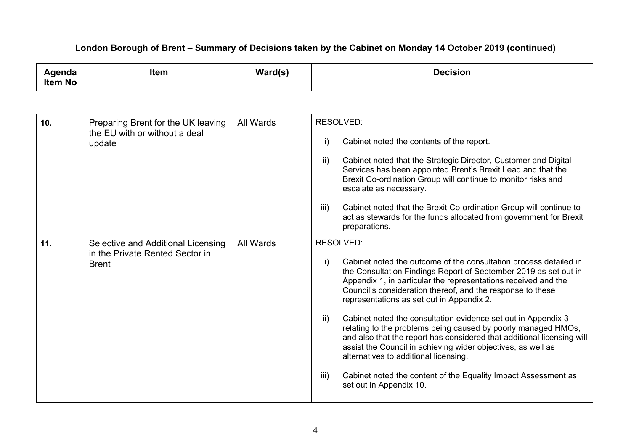| Agenda<br>Item No | <b>Item</b>                                                                           | $\textsf{Ward}(s)$ | <b>Decision</b>                                                                                                                                                                                                                                                                                                                                                                                                                                                                                                                                                                                                                                                                                                                                                                  |
|-------------------|---------------------------------------------------------------------------------------|--------------------|----------------------------------------------------------------------------------------------------------------------------------------------------------------------------------------------------------------------------------------------------------------------------------------------------------------------------------------------------------------------------------------------------------------------------------------------------------------------------------------------------------------------------------------------------------------------------------------------------------------------------------------------------------------------------------------------------------------------------------------------------------------------------------|
|                   |                                                                                       |                    |                                                                                                                                                                                                                                                                                                                                                                                                                                                                                                                                                                                                                                                                                                                                                                                  |
| 10.               | Preparing Brent for the UK leaving<br>the EU with or without a deal<br>update         | All Wards          | <b>RESOLVED:</b><br>Cabinet noted the contents of the report.<br>i)<br>$\mathsf{ii}$<br>Cabinet noted that the Strategic Director, Customer and Digital<br>Services has been appointed Brent's Brexit Lead and that the<br>Brexit Co-ordination Group will continue to monitor risks and<br>escalate as necessary.<br>Cabinet noted that the Brexit Co-ordination Group will continue to<br>iii)<br>act as stewards for the funds allocated from government for Brexit<br>preparations.                                                                                                                                                                                                                                                                                          |
| 11.               | Selective and Additional Licensing<br>in the Private Rented Sector in<br><b>Brent</b> | All Wards          | RESOLVED:<br>$\mathsf{i}$<br>Cabinet noted the outcome of the consultation process detailed in<br>the Consultation Findings Report of September 2019 as set out in<br>Appendix 1, in particular the representations received and the<br>Council's consideration thereof, and the response to these<br>representations as set out in Appendix 2.<br>Cabinet noted the consultation evidence set out in Appendix 3<br>ii)<br>relating to the problems being caused by poorly managed HMOs,<br>and also that the report has considered that additional licensing will<br>assist the Council in achieving wider objectives, as well as<br>alternatives to additional licensing.<br>Cabinet noted the content of the Equality Impact Assessment as<br>iii)<br>set out in Appendix 10. |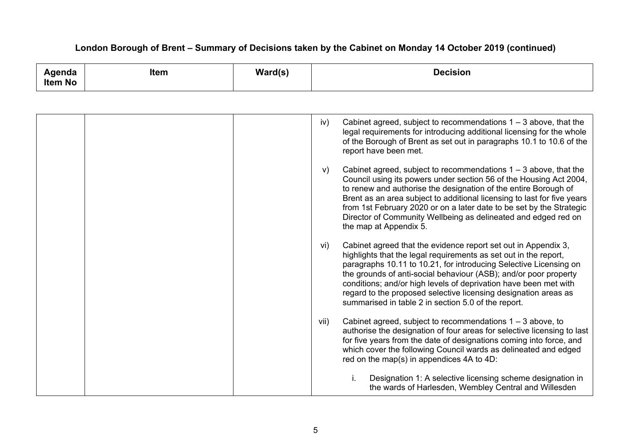| Agenda<br><b>Item No</b> | <b>Item</b> | $\textsf{Ward}(\textsf{s})$ | <b>Decision</b>                                                                                                                                                                                                                                                                                                                                                                                                                                                                  |
|--------------------------|-------------|-----------------------------|----------------------------------------------------------------------------------------------------------------------------------------------------------------------------------------------------------------------------------------------------------------------------------------------------------------------------------------------------------------------------------------------------------------------------------------------------------------------------------|
|                          |             |                             |                                                                                                                                                                                                                                                                                                                                                                                                                                                                                  |
|                          |             |                             | Cabinet agreed, subject to recommendations $1 - 3$ above, that the<br>iv)<br>legal requirements for introducing additional licensing for the whole<br>of the Borough of Brent as set out in paragraphs 10.1 to 10.6 of the<br>report have been met.                                                                                                                                                                                                                              |
|                          |             |                             | Cabinet agreed, subject to recommendations $1 - 3$ above, that the<br>V)<br>Council using its powers under section 56 of the Housing Act 2004,<br>to renew and authorise the designation of the entire Borough of<br>Brent as an area subject to additional licensing to last for five years<br>from 1st February 2020 or on a later date to be set by the Strategic<br>Director of Community Wellbeing as delineated and edged red on<br>the map at Appendix 5.                 |
|                          |             |                             | Cabinet agreed that the evidence report set out in Appendix 3,<br>vi)<br>highlights that the legal requirements as set out in the report,<br>paragraphs 10.11 to 10.21, for introducing Selective Licensing on<br>the grounds of anti-social behaviour (ASB); and/or poor property<br>conditions; and/or high levels of deprivation have been met with<br>regard to the proposed selective licensing designation areas as<br>summarised in table 2 in section 5.0 of the report. |
|                          |             |                             | Cabinet agreed, subject to recommendations $1 - 3$ above, to<br>vii)<br>authorise the designation of four areas for selective licensing to last<br>for five years from the date of designations coming into force, and<br>which cover the following Council wards as delineated and edged<br>red on the map(s) in appendices 4A to 4D:                                                                                                                                           |
|                          |             |                             | i.<br>Designation 1: A selective licensing scheme designation in<br>the wards of Harlesden, Wembley Central and Willesden                                                                                                                                                                                                                                                                                                                                                        |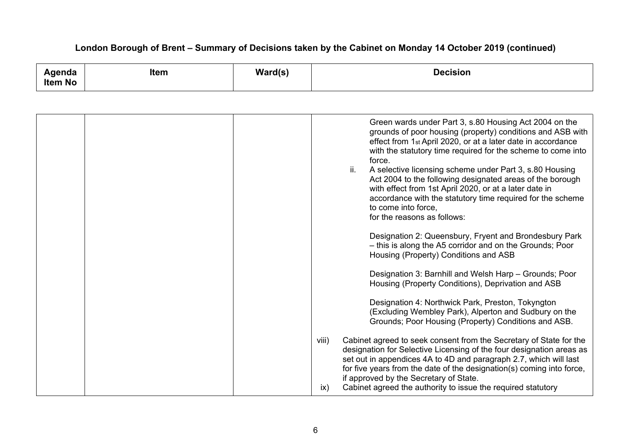| Item<br>Agenda<br><b>Item No</b> | Ward(s) | <b>Decision</b>                                                                                                                                                                                                                                                                                                                                                                                                                                                                                                                                                                                                                                                                                                                                                                                                                                                                                                                                                                                                                                                                                                                                                                                                                                                                                                                                                                 |
|----------------------------------|---------|---------------------------------------------------------------------------------------------------------------------------------------------------------------------------------------------------------------------------------------------------------------------------------------------------------------------------------------------------------------------------------------------------------------------------------------------------------------------------------------------------------------------------------------------------------------------------------------------------------------------------------------------------------------------------------------------------------------------------------------------------------------------------------------------------------------------------------------------------------------------------------------------------------------------------------------------------------------------------------------------------------------------------------------------------------------------------------------------------------------------------------------------------------------------------------------------------------------------------------------------------------------------------------------------------------------------------------------------------------------------------------|
|                                  |         |                                                                                                                                                                                                                                                                                                                                                                                                                                                                                                                                                                                                                                                                                                                                                                                                                                                                                                                                                                                                                                                                                                                                                                                                                                                                                                                                                                                 |
|                                  |         | Green wards under Part 3, s.80 Housing Act 2004 on the<br>grounds of poor housing (property) conditions and ASB with<br>effect from 1st April 2020, or at a later date in accordance<br>with the statutory time required for the scheme to come into<br>force.<br>ii.<br>A selective licensing scheme under Part 3, s.80 Housing<br>Act 2004 to the following designated areas of the borough<br>with effect from 1st April 2020, or at a later date in<br>accordance with the statutory time required for the scheme<br>to come into force,<br>for the reasons as follows:<br>Designation 2: Queensbury, Fryent and Brondesbury Park<br>- this is along the A5 corridor and on the Grounds; Poor<br>Housing (Property) Conditions and ASB<br>Designation 3: Barnhill and Welsh Harp - Grounds; Poor<br>Housing (Property Conditions), Deprivation and ASB<br>Designation 4: Northwick Park, Preston, Tokyngton<br>(Excluding Wembley Park), Alperton and Sudbury on the<br>Grounds; Poor Housing (Property) Conditions and ASB.<br>Cabinet agreed to seek consent from the Secretary of State for the<br>viii)<br>designation for Selective Licensing of the four designation areas as<br>set out in appendices 4A to 4D and paragraph 2.7, which will last<br>for five years from the date of the designation(s) coming into force,<br>if approved by the Secretary of State. |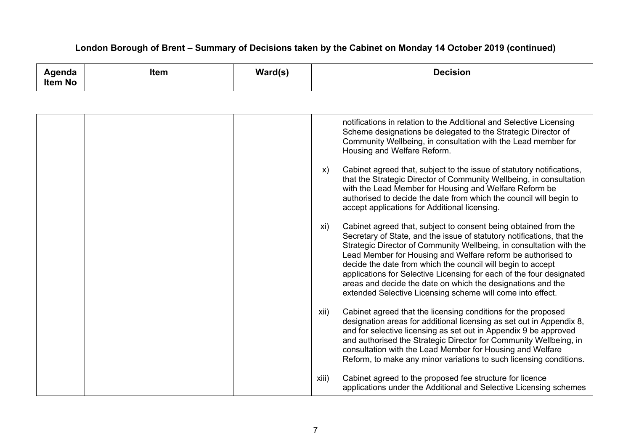| Agenda<br><b>Item No</b> | <b>Item</b> | $\textsf{Ward}(\textsf{s})$ | <b>Decision</b>                                                                                                                                                                                                                                                                                                                                                                                                                                                                                                                                            |
|--------------------------|-------------|-----------------------------|------------------------------------------------------------------------------------------------------------------------------------------------------------------------------------------------------------------------------------------------------------------------------------------------------------------------------------------------------------------------------------------------------------------------------------------------------------------------------------------------------------------------------------------------------------|
|                          |             |                             |                                                                                                                                                                                                                                                                                                                                                                                                                                                                                                                                                            |
|                          |             |                             | notifications in relation to the Additional and Selective Licensing<br>Scheme designations be delegated to the Strategic Director of<br>Community Wellbeing, in consultation with the Lead member for<br>Housing and Welfare Reform.                                                                                                                                                                                                                                                                                                                       |
|                          |             |                             | Cabinet agreed that, subject to the issue of statutory notifications,<br>X)<br>that the Strategic Director of Community Wellbeing, in consultation<br>with the Lead Member for Housing and Welfare Reform be<br>authorised to decide the date from which the council will begin to<br>accept applications for Additional licensing.                                                                                                                                                                                                                        |
|                          |             |                             | Cabinet agreed that, subject to consent being obtained from the<br>xi)<br>Secretary of State, and the issue of statutory notifications, that the<br>Strategic Director of Community Wellbeing, in consultation with the<br>Lead Member for Housing and Welfare reform be authorised to<br>decide the date from which the council will begin to accept<br>applications for Selective Licensing for each of the four designated<br>areas and decide the date on which the designations and the<br>extended Selective Licensing scheme will come into effect. |
|                          |             |                             | Cabinet agreed that the licensing conditions for the proposed<br>xii)<br>designation areas for additional licensing as set out in Appendix 8,<br>and for selective licensing as set out in Appendix 9 be approved<br>and authorised the Strategic Director for Community Wellbeing, in<br>consultation with the Lead Member for Housing and Welfare<br>Reform, to make any minor variations to such licensing conditions.                                                                                                                                  |
|                          |             |                             | Cabinet agreed to the proposed fee structure for licence<br>xiii)<br>applications under the Additional and Selective Licensing schemes                                                                                                                                                                                                                                                                                                                                                                                                                     |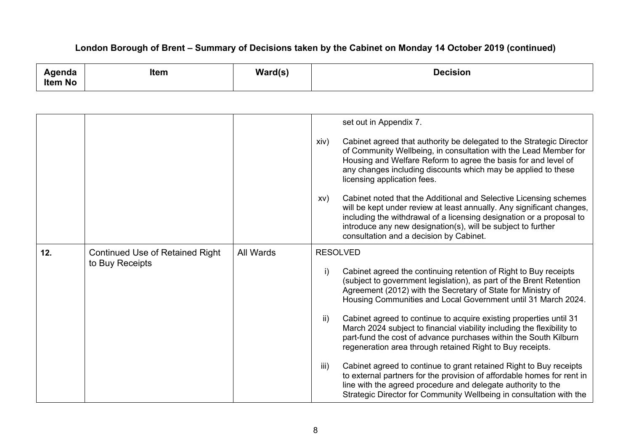| Agenda<br>Item No | <b>Item</b>                                               | Ward(s)   | <b>Decision</b>                                                                                                                                                                                                                                                                                                                                                                                                                                                                                                                                                                                                                                                                                                                                                                                                                                                                          |
|-------------------|-----------------------------------------------------------|-----------|------------------------------------------------------------------------------------------------------------------------------------------------------------------------------------------------------------------------------------------------------------------------------------------------------------------------------------------------------------------------------------------------------------------------------------------------------------------------------------------------------------------------------------------------------------------------------------------------------------------------------------------------------------------------------------------------------------------------------------------------------------------------------------------------------------------------------------------------------------------------------------------|
|                   |                                                           |           |                                                                                                                                                                                                                                                                                                                                                                                                                                                                                                                                                                                                                                                                                                                                                                                                                                                                                          |
|                   |                                                           |           | set out in Appendix 7.<br>Cabinet agreed that authority be delegated to the Strategic Director<br>xiv)<br>of Community Wellbeing, in consultation with the Lead Member for<br>Housing and Welfare Reform to agree the basis for and level of<br>any changes including discounts which may be applied to these<br>licensing application fees.<br>Cabinet noted that the Additional and Selective Licensing schemes<br>XV)<br>will be kept under review at least annually. Any significant changes,<br>including the withdrawal of a licensing designation or a proposal to<br>introduce any new designation(s), will be subject to further<br>consultation and a decision by Cabinet.                                                                                                                                                                                                     |
| 12.               | <b>Continued Use of Retained Right</b><br>to Buy Receipts | All Wards | <b>RESOLVED</b><br>i)<br>Cabinet agreed the continuing retention of Right to Buy receipts<br>(subject to government legislation), as part of the Brent Retention<br>Agreement (2012) with the Secretary of State for Ministry of<br>Housing Communities and Local Government until 31 March 2024.<br>Cabinet agreed to continue to acquire existing properties until 31<br>ii)<br>March 2024 subject to financial viability including the flexibility to<br>part-fund the cost of advance purchases within the South Kilburn<br>regeneration area through retained Right to Buy receipts.<br>iii)<br>Cabinet agreed to continue to grant retained Right to Buy receipts<br>to external partners for the provision of affordable homes for rent in<br>line with the agreed procedure and delegate authority to the<br>Strategic Director for Community Wellbeing in consultation with the |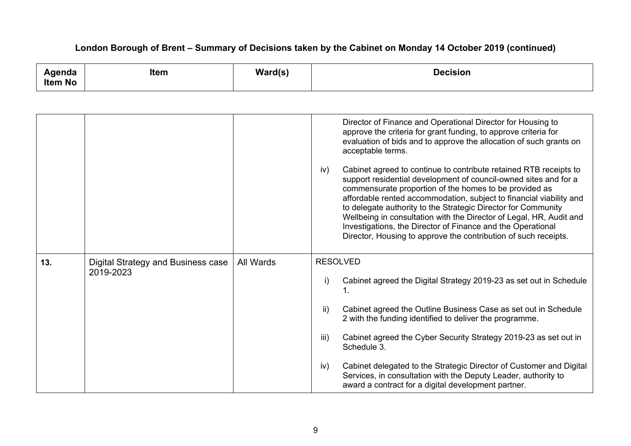| Agenda<br><b>Item No</b> | <b>Item</b>                                     | $\textsf{Ward}(\textsf{s})$ | <b>Decision</b>                                                                                                                                                                                                                                                                                                                                                                                                                                                                                                                                                                                                                                                                                                                                                                      |
|--------------------------|-------------------------------------------------|-----------------------------|--------------------------------------------------------------------------------------------------------------------------------------------------------------------------------------------------------------------------------------------------------------------------------------------------------------------------------------------------------------------------------------------------------------------------------------------------------------------------------------------------------------------------------------------------------------------------------------------------------------------------------------------------------------------------------------------------------------------------------------------------------------------------------------|
|                          |                                                 |                             |                                                                                                                                                                                                                                                                                                                                                                                                                                                                                                                                                                                                                                                                                                                                                                                      |
|                          |                                                 |                             | Director of Finance and Operational Director for Housing to<br>approve the criteria for grant funding, to approve criteria for<br>evaluation of bids and to approve the allocation of such grants on<br>acceptable terms.<br>Cabinet agreed to continue to contribute retained RTB receipts to<br>iv)<br>support residential development of council-owned sites and for a<br>commensurate proportion of the homes to be provided as<br>affordable rented accommodation, subject to financial viability and<br>to delegate authority to the Strategic Director for Community<br>Wellbeing in consultation with the Director of Legal, HR, Audit and<br>Investigations, the Director of Finance and the Operational<br>Director, Housing to approve the contribution of such receipts. |
| 13.                      | Digital Strategy and Business case<br>2019-2023 | All Wards                   | <b>RESOLVED</b><br>Cabinet agreed the Digital Strategy 2019-23 as set out in Schedule<br>i)<br>Cabinet agreed the Outline Business Case as set out in Schedule<br>$\mathsf{ii}$<br>2 with the funding identified to deliver the programme.<br>Cabinet agreed the Cyber Security Strategy 2019-23 as set out in<br>iii)<br>Schedule 3.<br>Cabinet delegated to the Strategic Director of Customer and Digital<br>iv)<br>Services, in consultation with the Deputy Leader, authority to<br>award a contract for a digital development partner.                                                                                                                                                                                                                                         |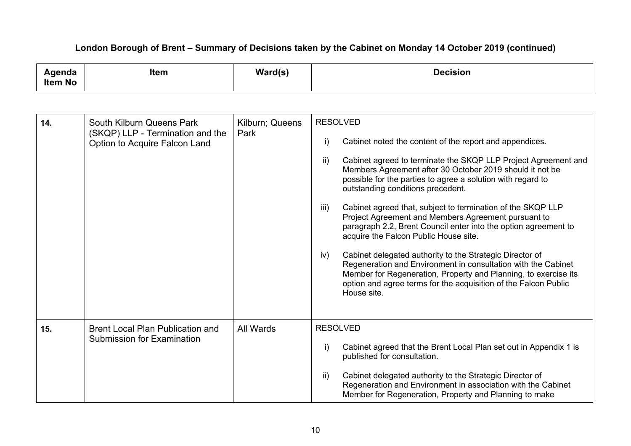| Agenda<br><b>Item No</b> | Item                                                                                           | $\text{Ward}(s)$        | <b>Decision</b>                                                                                                                                                                                                                                                                                                                                                                                                                                                                                                                                                                                                                                                                                                                                                                                                                                                        |
|--------------------------|------------------------------------------------------------------------------------------------|-------------------------|------------------------------------------------------------------------------------------------------------------------------------------------------------------------------------------------------------------------------------------------------------------------------------------------------------------------------------------------------------------------------------------------------------------------------------------------------------------------------------------------------------------------------------------------------------------------------------------------------------------------------------------------------------------------------------------------------------------------------------------------------------------------------------------------------------------------------------------------------------------------|
|                          |                                                                                                |                         |                                                                                                                                                                                                                                                                                                                                                                                                                                                                                                                                                                                                                                                                                                                                                                                                                                                                        |
| 14.                      | South Kilburn Queens Park<br>(SKQP) LLP - Termination and the<br>Option to Acquire Falcon Land | Kilburn; Queens<br>Park | <b>RESOLVED</b><br>Cabinet noted the content of the report and appendices.<br>i)<br>$\mathsf{ii}$<br>Cabinet agreed to terminate the SKQP LLP Project Agreement and<br>Members Agreement after 30 October 2019 should it not be<br>possible for the parties to agree a solution with regard to<br>outstanding conditions precedent.<br>Cabinet agreed that, subject to termination of the SKQP LLP<br>iii)<br>Project Agreement and Members Agreement pursuant to<br>paragraph 2.2, Brent Council enter into the option agreement to<br>acquire the Falcon Public House site.<br>Cabinet delegated authority to the Strategic Director of<br>iv)<br>Regeneration and Environment in consultation with the Cabinet<br>Member for Regeneration, Property and Planning, to exercise its<br>option and agree terms for the acquisition of the Falcon Public<br>House site. |
| 15.                      | <b>Brent Local Plan Publication and</b><br><b>Submission for Examination</b>                   | All Wards               | <b>RESOLVED</b><br>Cabinet agreed that the Brent Local Plan set out in Appendix 1 is<br>i)<br>published for consultation.                                                                                                                                                                                                                                                                                                                                                                                                                                                                                                                                                                                                                                                                                                                                              |
|                          |                                                                                                |                         | Cabinet delegated authority to the Strategic Director of<br>$\mathsf{ii}$<br>Regeneration and Environment in association with the Cabinet<br>Member for Regeneration, Property and Planning to make                                                                                                                                                                                                                                                                                                                                                                                                                                                                                                                                                                                                                                                                    |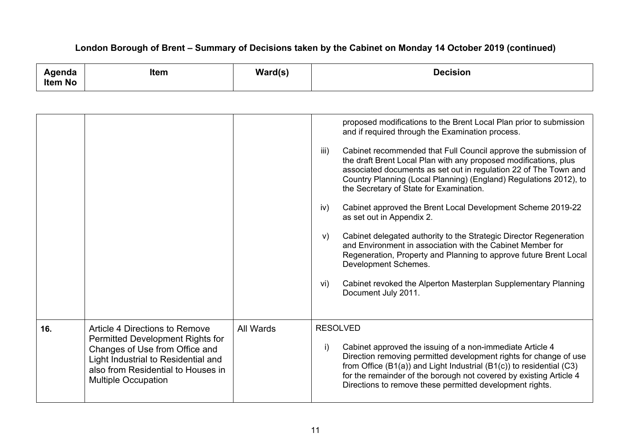| Agenda<br><b>Item No</b> | <b>Item</b>                                                                                                                                                                                                     | Ward(s)   | <b>Decision</b>                                                                                                                                                                                                                                                                                                                                                                                                                                                                                                                                                                                                                                                                                                                                                                                                                                                                                     |
|--------------------------|-----------------------------------------------------------------------------------------------------------------------------------------------------------------------------------------------------------------|-----------|-----------------------------------------------------------------------------------------------------------------------------------------------------------------------------------------------------------------------------------------------------------------------------------------------------------------------------------------------------------------------------------------------------------------------------------------------------------------------------------------------------------------------------------------------------------------------------------------------------------------------------------------------------------------------------------------------------------------------------------------------------------------------------------------------------------------------------------------------------------------------------------------------------|
|                          |                                                                                                                                                                                                                 |           |                                                                                                                                                                                                                                                                                                                                                                                                                                                                                                                                                                                                                                                                                                                                                                                                                                                                                                     |
|                          |                                                                                                                                                                                                                 |           | proposed modifications to the Brent Local Plan prior to submission<br>and if required through the Examination process.<br>Cabinet recommended that Full Council approve the submission of<br>iii)<br>the draft Brent Local Plan with any proposed modifications, plus<br>associated documents as set out in regulation 22 of The Town and<br>Country Planning (Local Planning) (England) Regulations 2012), to<br>the Secretary of State for Examination.<br>Cabinet approved the Brent Local Development Scheme 2019-22<br>iv)<br>as set out in Appendix 2.<br>Cabinet delegated authority to the Strategic Director Regeneration<br>V)<br>and Environment in association with the Cabinet Member for<br>Regeneration, Property and Planning to approve future Brent Local<br>Development Schemes.<br>Cabinet revoked the Alperton Masterplan Supplementary Planning<br>vi)<br>Document July 2011. |
| 16.                      | Article 4 Directions to Remove<br>Permitted Development Rights for<br>Changes of Use from Office and<br>Light Industrial to Residential and<br>also from Residential to Houses in<br><b>Multiple Occupation</b> | All Wards | <b>RESOLVED</b><br>Cabinet approved the issuing of a non-immediate Article 4<br>i)<br>Direction removing permitted development rights for change of use<br>from Office (B1(a)) and Light Industrial (B1(c)) to residential (C3)<br>for the remainder of the borough not covered by existing Article 4<br>Directions to remove these permitted development rights.                                                                                                                                                                                                                                                                                                                                                                                                                                                                                                                                   |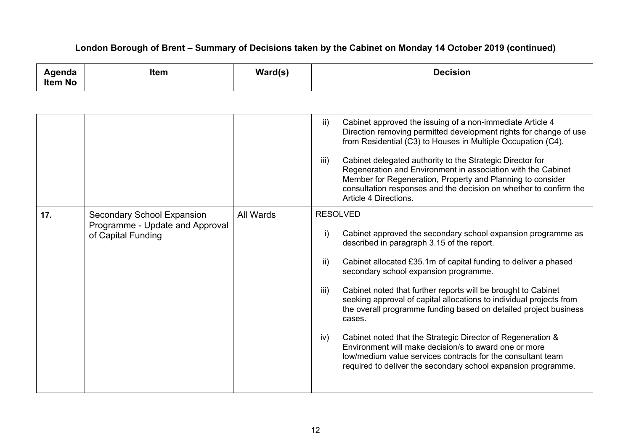| Agenda<br><b>Item No</b> | <b>Item</b>                                                                                | Ward(s)   | <b>Decision</b>                                                                                                                                                                                                                                                                                                                                                                                                                                                                                                                                                                                                                                                                                                                                                         |
|--------------------------|--------------------------------------------------------------------------------------------|-----------|-------------------------------------------------------------------------------------------------------------------------------------------------------------------------------------------------------------------------------------------------------------------------------------------------------------------------------------------------------------------------------------------------------------------------------------------------------------------------------------------------------------------------------------------------------------------------------------------------------------------------------------------------------------------------------------------------------------------------------------------------------------------------|
|                          |                                                                                            |           |                                                                                                                                                                                                                                                                                                                                                                                                                                                                                                                                                                                                                                                                                                                                                                         |
|                          |                                                                                            |           | $\mathsf{ii}$<br>Cabinet approved the issuing of a non-immediate Article 4<br>Direction removing permitted development rights for change of use<br>from Residential (C3) to Houses in Multiple Occupation (C4).<br>iii)<br>Cabinet delegated authority to the Strategic Director for<br>Regeneration and Environment in association with the Cabinet<br>Member for Regeneration, Property and Planning to consider<br>consultation responses and the decision on whether to confirm the<br>Article 4 Directions.                                                                                                                                                                                                                                                        |
| 17.                      | <b>Secondary School Expansion</b><br>Programme - Update and Approval<br>of Capital Funding | All Wards | <b>RESOLVED</b><br>$\mathbf{i}$<br>Cabinet approved the secondary school expansion programme as<br>described in paragraph 3.15 of the report.<br>Cabinet allocated £35.1m of capital funding to deliver a phased<br>$\mathsf{ii}$<br>secondary school expansion programme.<br>Cabinet noted that further reports will be brought to Cabinet<br>iii)<br>seeking approval of capital allocations to individual projects from<br>the overall programme funding based on detailed project business<br>cases.<br>Cabinet noted that the Strategic Director of Regeneration &<br>iv)<br>Environment will make decision/s to award one or more<br>low/medium value services contracts for the consultant team<br>required to deliver the secondary school expansion programme. |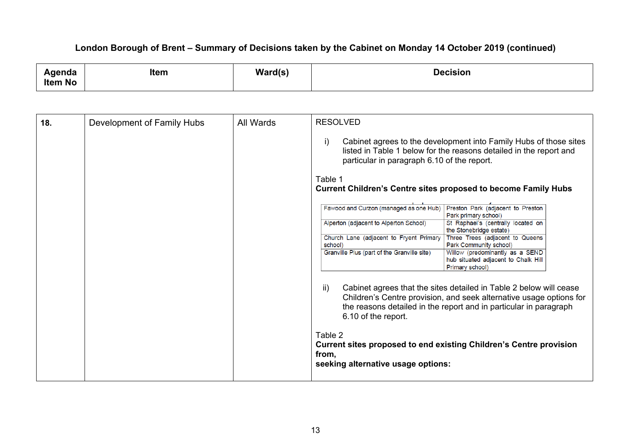| ∖ɑenda         | <b>Item</b> | Ward(s) | Decision |
|----------------|-------------|---------|----------|
| <b>Item No</b> |             |         |          |

| 18. | Development of Family Hubs | All Wards | <b>RESOLVED</b><br>i)<br>particular in paragraph 6.10 of the report.<br>Table 1      | Cabinet agrees to the development into Family Hubs of those sites<br>listed in Table 1 below for the reasons detailed in the report and                                                                        |
|-----|----------------------------|-----------|--------------------------------------------------------------------------------------|----------------------------------------------------------------------------------------------------------------------------------------------------------------------------------------------------------------|
|     |                            |           | <b>Current Children's Centre sites proposed to become Family Hubs</b>                |                                                                                                                                                                                                                |
|     |                            |           | Fawood and Curzon (managed as one Hub) Preston Park (adjacent to Preston             | Park primary school)                                                                                                                                                                                           |
|     |                            |           | Alperton (adjacent to Alperton School)                                               | St Raphael's (centrally located on<br>the Stonebridge estate)                                                                                                                                                  |
|     |                            |           | Church Lane (adjacent to Fryent Primary   Three Trees (adjacent to Queens<br>school) | Park Community school)                                                                                                                                                                                         |
|     |                            |           | Granville Plus (part of the Granville site)                                          | Willow (predominantly as a SEND<br>hub situated adjacent to Chalk Hill<br>Primary school)                                                                                                                      |
|     |                            |           | ii)<br>6.10 of the report.                                                           | Cabinet agrees that the sites detailed in Table 2 below will cease<br>Children's Centre provision, and seek alternative usage options for<br>the reasons detailed in the report and in particular in paragraph |
|     |                            |           | Table 2<br>from,<br>seeking alternative usage options:                               | <b>Current sites proposed to end existing Children's Centre provision</b>                                                                                                                                      |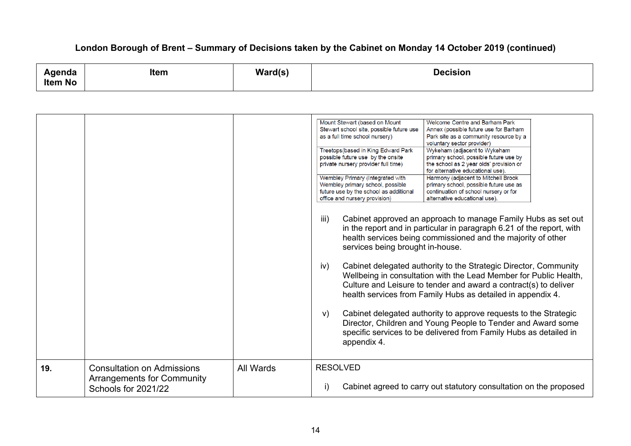| Agenda<br><b>Item No</b> | <b>Item</b>                                                                                   | Ward(s)   | <b>Decision</b>                                                                                                                                                                                                                                                                                                                                                                                                                                                                                                                                                                                                                                                                                                                                                                                                                                                                                                                                                                                                                                                                                                                                                                                                                                                                                                                                                                                                                                                                                                                                                                                                                 |
|--------------------------|-----------------------------------------------------------------------------------------------|-----------|---------------------------------------------------------------------------------------------------------------------------------------------------------------------------------------------------------------------------------------------------------------------------------------------------------------------------------------------------------------------------------------------------------------------------------------------------------------------------------------------------------------------------------------------------------------------------------------------------------------------------------------------------------------------------------------------------------------------------------------------------------------------------------------------------------------------------------------------------------------------------------------------------------------------------------------------------------------------------------------------------------------------------------------------------------------------------------------------------------------------------------------------------------------------------------------------------------------------------------------------------------------------------------------------------------------------------------------------------------------------------------------------------------------------------------------------------------------------------------------------------------------------------------------------------------------------------------------------------------------------------------|
|                          |                                                                                               |           |                                                                                                                                                                                                                                                                                                                                                                                                                                                                                                                                                                                                                                                                                                                                                                                                                                                                                                                                                                                                                                                                                                                                                                                                                                                                                                                                                                                                                                                                                                                                                                                                                                 |
|                          |                                                                                               |           | Mount Stewart (based on Mount<br>Welcome Centre and Barham Park<br>Stewart school site, possible future use<br>Annex (possible future use for Barham<br>as a full time school nursery)<br>Park site as a community resource by a<br>voluntary sector provider)<br>Treetops(based in King Edward Park<br>Wykeham (adjacent to Wykeham<br>possible future use by the onsite<br>primary school, possible future use by<br>private nursery provider full time)<br>the school as 2 year olds' provision or<br>for alternative educational use).<br>Wembley Primary (Integrated with<br>Harmony (adjacent to Mitchell Brook<br>Wembley primary school, possible<br>primary school, possible future use as<br>future use by the school as additional<br>continuation of school nursery or for<br>office and nursery provision)<br>alternative educational use).<br>iii)<br>Cabinet approved an approach to manage Family Hubs as set out<br>in the report and in particular in paragraph 6.21 of the report, with<br>health services being commissioned and the majority of other<br>services being brought in-house.<br>Cabinet delegated authority to the Strategic Director, Community<br>iv)<br>Wellbeing in consultation with the Lead Member for Public Health,<br>Culture and Leisure to tender and award a contract(s) to deliver<br>health services from Family Hubs as detailed in appendix 4.<br>Cabinet delegated authority to approve requests to the Strategic<br>V)<br>Director, Children and Young People to Tender and Award some<br>specific services to be delivered from Family Hubs as detailed in<br>appendix 4. |
| 19.                      | <b>Consultation on Admissions</b><br><b>Arrangements for Community</b><br>Schools for 2021/22 | All Wards | <b>RESOLVED</b><br>Cabinet agreed to carry out statutory consultation on the proposed<br>i)                                                                                                                                                                                                                                                                                                                                                                                                                                                                                                                                                                                                                                                                                                                                                                                                                                                                                                                                                                                                                                                                                                                                                                                                                                                                                                                                                                                                                                                                                                                                     |